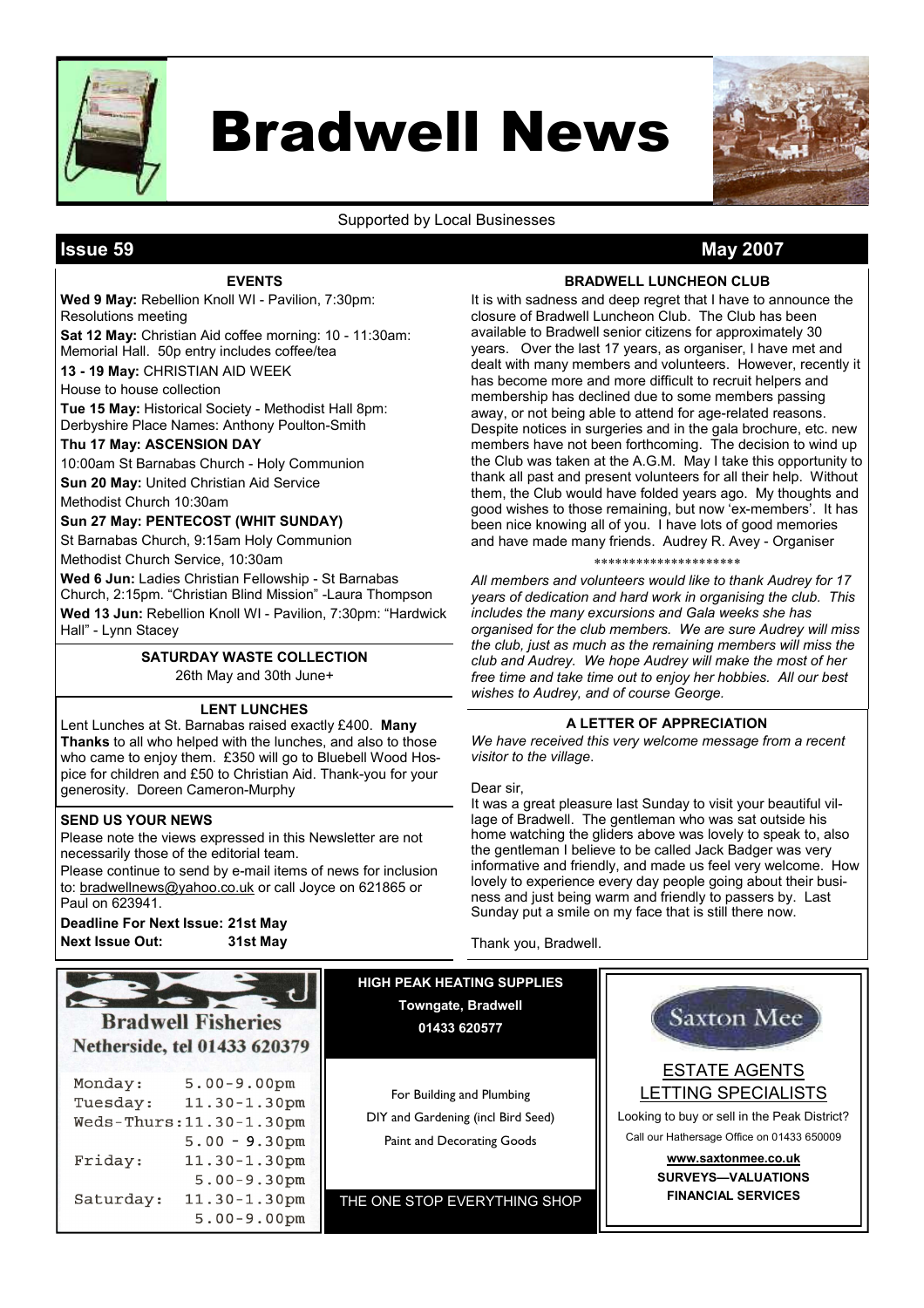

# Bradwell News



### Supported by Local Businesses

### **Issue 59 May 2007**

### EVENTS

Wed 9 May: Rebellion Knoll WI - Pavilion, 7:30pm: Resolutions meeting

Sat 12 May: Christian Aid coffee morning: 10 - 11:30am: Memorial Hall. 50p entry includes coffee/tea

13 - 19 May: CHRISTIAN AID WEEK

House to house collection

Tue 15 May: Historical Society - Methodist Hall 8pm: Derbyshire Place Names: Anthony Poulton-Smith

### Thu 17 May: ASCENSION DAY

10:00am St Barnabas Church - Holy Communion

**Sun 20 May: United Christian Aid Service** 

Methodist Church 10:30am

Sun 27 May: PENTECOST (WHIT SUNDAY)

St Barnabas Church, 9:15am Holy Communion

Methodist Church Service, 10:30am

Wed 6 Jun: Ladies Christian Fellowship - St Barnabas Church, 2:15pm. "Christian Blind Mission" -Laura Thompson Wed 13 Jun: Rebellion Knoll WI - Pavilion, 7:30pm: "Hardwick Hall" - Lynn Stacey

> SATURDAY WASTE COLLECTION 26th May and 30th June+

### LENT LUNCHES

Lent Lunches at St. Barnabas raised exactly £400. Many Thanks to all who helped with the lunches, and also to those who came to enjoy them. £350 will go to Bluebell Wood Hospice for children and £50 to Christian Aid. Thank-you for your generosity. Doreen Cameron-Murphy

### SEND US YOUR NEWS

Please note the views expressed in this Newsletter are not necessarily those of the editorial team.

Please continue to send by e-mail items of news for inclusion to: bradwellnews@yahoo.co.uk or call Joyce on 621865 or Paul on 623941.

### Deadline For Next Issue: 21st May Next Issue Out: 31st May

### BRADWELL LUNCHEON CLUB

It is with sadness and deep regret that I have to announce the closure of Bradwell Luncheon Club. The Club has been available to Bradwell senior citizens for approximately 30 years. Over the last 17 years, as organiser, I have met and dealt with many members and volunteers. However, recently it has become more and more difficult to recruit helpers and membership has declined due to some members passing away, or not being able to attend for age-related reasons. Despite notices in surgeries and in the gala brochure, etc. new members have not been forthcoming. The decision to wind up the Club was taken at the A.G.M. May I take this opportunity to thank all past and present volunteers for all their help. Without them, the Club would have folded years ago. My thoughts and good wishes to those remaining, but now 'ex-members'. It has been nice knowing all of you. I have lots of good memories and have made many friends. Audrey R. Avey - Organiser

#### ∗∗∗∗∗∗∗∗∗∗∗∗∗∗∗∗∗∗∗∗∗

All members and volunteers would like to thank Audrey for 17 years of dedication and hard work in organising the club. This includes the many excursions and Gala weeks she has organised for the club members. We are sure Audrey will miss the club, just as much as the remaining members will miss the club and Audrey. We hope Audrey will make the most of her free time and take time out to enjoy her hobbies. All our best wishes to Audrey, and of course George.

### A LETTER OF APPRECIATION

We have received this very welcome message from a recent visitor to the village.

Dear sir,

It was a great pleasure last Sunday to visit your beautiful village of Bradwell. The gentleman who was sat outside his home watching the gliders above was lovely to speak to, also the gentleman I believe to be called Jack Badger was very informative and friendly, and made us feel very welcome. How lovely to experience every day people going about their business and just being warm and friendly to passers by. Last Sunday put a smile on my face that is still there now.

Thank you, Bradwell.

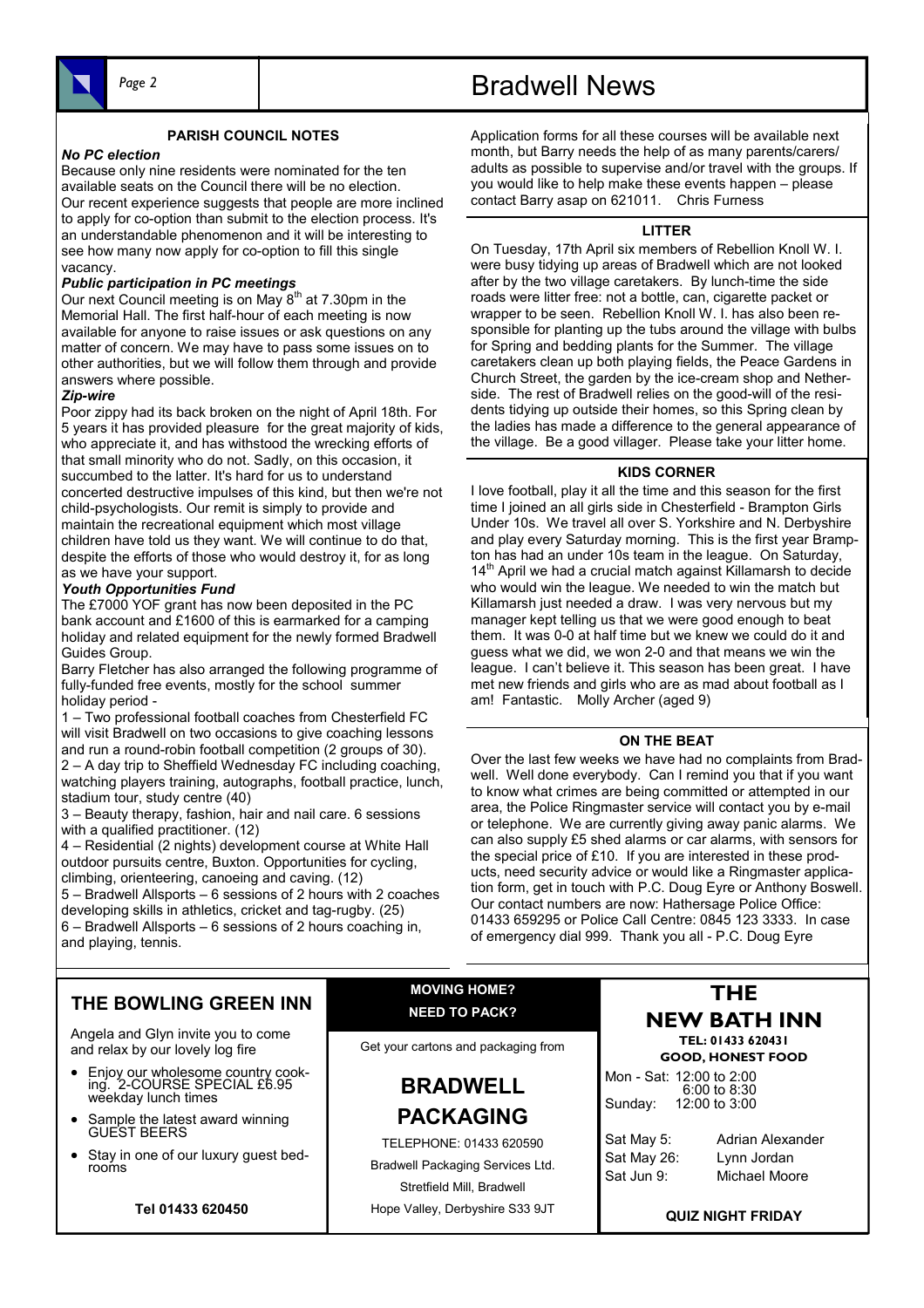

### PARISH COUNCIL NOTES

### No PC election

Because only nine residents were nominated for the ten available seats on the Council there will be no election. Our recent experience suggests that people are more inclined to apply for co-option than submit to the election process. It's an understandable phenomenon and it will be interesting to see how many now apply for co-option to fill this single vacancy.

### Public participation in PC meetings

Our next Council meeting is on May  $8<sup>th</sup>$  at 7.30pm in the Memorial Hall. The first half-hour of each meeting is now available for anyone to raise issues or ask questions on any matter of concern. We may have to pass some issues on to other authorities, but we will follow them through and provide answers where possible.

### Zip-wire

Poor zippy had its back broken on the night of April 18th. For 5 years it has provided pleasure for the great majority of kids, who appreciate it, and has withstood the wrecking efforts of that small minority who do not. Sadly, on this occasion, it succumbed to the latter. It's hard for us to understand concerted destructive impulses of this kind, but then we're not child-psychologists. Our remit is simply to provide and maintain the recreational equipment which most village children have told us they want. We will continue to do that, despite the efforts of those who would destroy it, for as long as we have your support.

#### Youth Opportunities Fund

The £7000 YOF grant has now been deposited in the PC bank account and £1600 of this is earmarked for a camping holiday and related equipment for the newly formed Bradwell Guides Group.

Barry Fletcher has also arranged the following programme of fully-funded free events, mostly for the school summer holiday period -

1 – Two professional football coaches from Chesterfield FC will visit Bradwell on two occasions to give coaching lessons and run a round-robin football competition (2 groups of 30). 2 – A day trip to Sheffield Wednesday FC including coaching, watching players training, autographs, football practice, lunch, stadium tour, study centre (40)

3 – Beauty therapy, fashion, hair and nail care. 6 sessions with a qualified practitioner. (12)

4 – Residential (2 nights) development course at White Hall outdoor pursuits centre, Buxton. Opportunities for cycling, climbing, orienteering, canoeing and caving. (12)

5 – Bradwell Allsports – 6 sessions of 2 hours with 2 coaches developing skills in athletics, cricket and tag-rugby. (25) 6 – Bradwell Allsports – 6 sessions of 2 hours coaching in, and playing, tennis.

#### Application forms for all these courses will be available next month, but Barry needs the help of as many parents/carers/ adults as possible to supervise and/or travel with the groups. If you would like to help make these events happen – please contact Barry asap on 621011. Chris Furness

### LITTER

On Tuesday, 17th April six members of Rebellion Knoll W. I. were busy tidying up areas of Bradwell which are not looked after by the two village caretakers. By lunch-time the side roads were litter free: not a bottle, can, cigarette packet or wrapper to be seen. Rebellion Knoll W. I. has also been responsible for planting up the tubs around the village with bulbs for Spring and bedding plants for the Summer. The village caretakers clean up both playing fields, the Peace Gardens in Church Street, the garden by the ice-cream shop and Netherside. The rest of Bradwell relies on the good-will of the residents tidying up outside their homes, so this Spring clean by the ladies has made a difference to the general appearance of the village. Be a good villager. Please take your litter home.

### KIDS CORNER

I love football, play it all the time and this season for the first time I joined an all girls side in Chesterfield - Brampton Girls Under 10s. We travel all over S. Yorkshire and N. Derbyshire and play every Saturday morning. This is the first year Brampton has had an under 10s team in the league. On Saturday, 14<sup>th</sup> April we had a crucial match against Killamarsh to decide who would win the league. We needed to win the match but Killamarsh just needed a draw. I was very nervous but my manager kept telling us that we were good enough to beat them. It was 0-0 at half time but we knew we could do it and guess what we did, we won 2-0 and that means we win the league. I can't believe it. This season has been great. I have met new friends and girls who are as mad about football as I am! Fantastic. Molly Archer (aged 9)

### ON THE BEAT

Over the last few weeks we have had no complaints from Bradwell. Well done everybody. Can I remind you that if you want to know what crimes are being committed or attempted in our area, the Police Ringmaster service will contact you by e-mail or telephone. We are currently giving away panic alarms. We can also supply £5 shed alarms or car alarms, with sensors for the special price of £10. If you are interested in these products, need security advice or would like a Ringmaster application form, get in touch with P.C. Doug Eyre or Anthony Boswell. Our contact numbers are now: Hathersage Police Office: 01433 659295 or Police Call Centre: 0845 123 3333. In case of emergency dial 999. Thank you all - P.C. Doug Eyre

### THE BOWLING GREEN INN

Angela and Glyn invite you to come and relax by our lovely log fire

- Enjoy our wholesome country cooking. 2-COURSE SPECIAL £6.95 weekday lunch times
- Sample the latest award winning GUEST BEERS
- Stay in one of our luxury guest bedrooms

Tel 01433 620450

MOVING HOME? NEED TO PACK?

Get your cartons and packaging from

### BRADWELL PACKAGING

TELEPHONE: 01433 620590 Bradwell Packaging Services Ltd. Stretfield Mill, Bradwell Hope Valley, Derbyshire S33 9JT

### THE NEW BATH INN TEL: 01433 620431

GOOD, HONEST FOOD Mon - Sat: 12:00 to 2:00 6:00 to 8:30<br>Sunday: 12:00 to 3:00 12:00 to 3:00

Sat May 5: Adrian Alexander Sat May 26: Lynn Jordan Sat Jun 9: Michael Moore

QUIZ NIGHT FRIDAY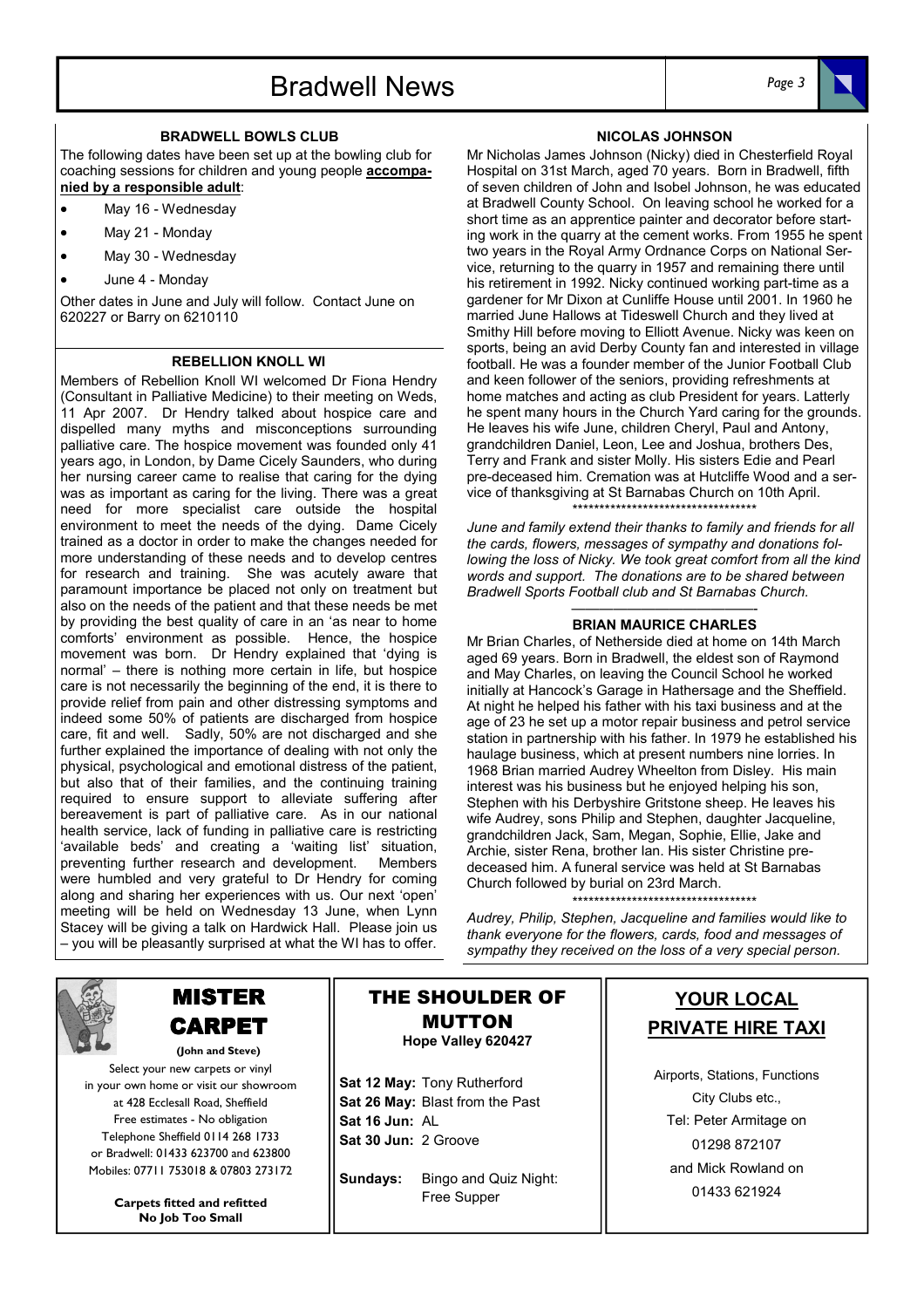### Bradwell News Page 3

### BRADWELL BOWLS CLUB

The following dates have been set up at the bowling club for coaching sessions for children and young people **accompa**nied by a responsible adult:

### • May 16 - Wednesday

- May 21 Monday
- May 30 Wednesday
- June 4 Monday

Other dates in June and July will follow. Contact June on 620227 or Barry on 6210110

#### REBELLION KNOLL WI

Members of Rebellion Knoll WI welcomed Dr Fiona Hendry (Consultant in Palliative Medicine) to their meeting on Weds, 11 Apr 2007. Dr Hendry talked about hospice care and dispelled many myths and misconceptions surrounding palliative care. The hospice movement was founded only 41 years ago, in London, by Dame Cicely Saunders, who during her nursing career came to realise that caring for the dying was as important as caring for the living. There was a great need for more specialist care outside the hospital environment to meet the needs of the dying. Dame Cicely trained as a doctor in order to make the changes needed for more understanding of these needs and to develop centres for research and training. She was acutely aware that paramount importance be placed not only on treatment but also on the needs of the patient and that these needs be met by providing the best quality of care in an 'as near to home comforts' environment as possible. Hence, the hospice movement was born. Dr Hendry explained that 'dying is normal' – there is nothing more certain in life, but hospice care is not necessarily the beginning of the end, it is there to provide relief from pain and other distressing symptoms and indeed some 50% of patients are discharged from hospice care, fit and well. Sadly, 50% are not discharged and she further explained the importance of dealing with not only the physical, psychological and emotional distress of the patient, but also that of their families, and the continuing training required to ensure support to alleviate suffering after bereavement is part of palliative care. As in our national health service, lack of funding in palliative care is restricting 'available beds' and creating a 'waiting list' situation, preventing further research and development. Members were humbled and very grateful to Dr Hendry for coming along and sharing her experiences with us. Our next 'open' meeting will be held on Wednesday 13 June, when Lynn Stacey will be giving a talk on Hardwick Hall. Please join us – you will be pleasantly surprised at what the WI has to offer.

### NICOLAS JOHNSON

Mr Nicholas James Johnson (Nicky) died in Chesterfield Royal Hospital on 31st March, aged 70 years. Born in Bradwell, fifth of seven children of John and Isobel Johnson, he was educated at Bradwell County School. On leaving school he worked for a short time as an apprentice painter and decorator before starting work in the quarry at the cement works. From 1955 he spent two years in the Royal Army Ordnance Corps on National Service, returning to the quarry in 1957 and remaining there until his retirement in 1992. Nicky continued working part-time as a gardener for Mr Dixon at Cunliffe House until 2001. In 1960 he married June Hallows at Tideswell Church and they lived at Smithy Hill before moving to Elliott Avenue. Nicky was keen on sports, being an avid Derby County fan and interested in village football. He was a founder member of the Junior Football Club and keen follower of the seniors, providing refreshments at home matches and acting as club President for years. Latterly he spent many hours in the Church Yard caring for the grounds. He leaves his wife June, children Cheryl, Paul and Antony, grandchildren Daniel, Leon, Lee and Joshua, brothers Des, Terry and Frank and sister Molly. His sisters Edie and Pearl pre-deceased him. Cremation was at Hutcliffe Wood and a service of thanksgiving at St Barnabas Church on 10th April. \*\*\*\*\*\*\*\*\*\*\*\*\*\*\*\*\*\*\*\*\*\*\*\*\*\*\*\*\*\*\*\*\*\*

June and family extend their thanks to family and friends for all the cards, flowers, messages of sympathy and donations following the loss of Nicky. We took great comfort from all the kind words and support. The donations are to be shared between Bradwell Sports Football club and St Barnabas Church. —————————————-

### BRIAN MAURICE CHARLES

Mr Brian Charles, of Netherside died at home on 14th March aged 69 years. Born in Bradwell, the eldest son of Raymond and May Charles, on leaving the Council School he worked initially at Hancock's Garage in Hathersage and the Sheffield. At night he helped his father with his taxi business and at the age of 23 he set up a motor repair business and petrol service station in partnership with his father. In 1979 he established his haulage business, which at present numbers nine lorries. In 1968 Brian married Audrey Wheelton from Disley. His main interest was his business but he enjoyed helping his son, Stephen with his Derbyshire Gritstone sheep. He leaves his wife Audrey, sons Philip and Stephen, daughter Jacqueline, grandchildren Jack, Sam, Megan, Sophie, Ellie, Jake and Archie, sister Rena, brother Ian. His sister Christine predeceased him. A funeral service was held at St Barnabas Church followed by burial on 23rd March.

\*\*\*\*\*\*\*\*\*\*\*\*\*\*\*\*\*\*\*\*\*\*\*\*\*\*\*\*\*\*\*\*\*\*

Audrey, Philip, Stephen, Jacqueline and families would like to thank everyone for the flowers, cards, food and messages of sympathy they received on the loss of a very special person.

### MISTER CARPET

(John and Steve) Select your new carpets or vinyl in your own home or visit our showroom at 428 Ecclesall Road, Sheffield Free estimates - No obligation Telephone Sheffield 0114 268 1733 or Bradwell: 01433 623700 and 623800 Mobiles: 07711 753018 & 07803 273172

> Carpets fitted and refitted .<br>No lob Too Small

THE SHOULDER OF MUTTON Hope Valley 620427

Sat 12 May: Tony Rutherford Sat 26 May: Blast from the Past Sat 16 Jun: AL Sat 30 Jun: 2 Groove

Sundays: Bingo and Quiz Night: Free Supper

### YOUR LOCAL PRIVATE HIRE TAXI

Airports, Stations, Functions City Clubs etc., Tel: Peter Armitage on 01298 872107 and Mick Rowland on 01433 621924